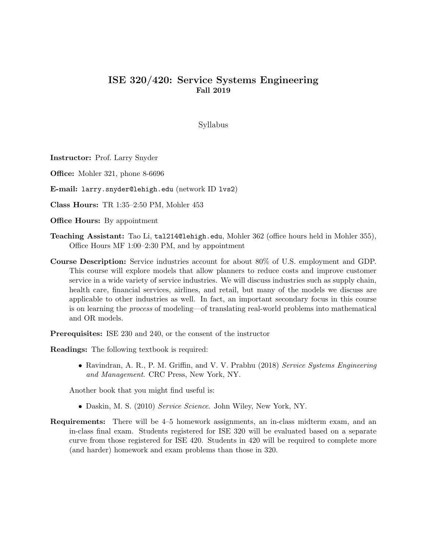## ISE 320/420: Service Systems Engineering Fall 2019

Syllabus

Instructor: Prof. Larry Snyder

Office: Mohler 321, phone 8-6696

E-mail: larry.snyder@lehigh.edu (network ID lvs2)

Class Hours: TR 1:35–2:50 PM, Mohler 453

**Office Hours:** By appointment

- Teaching Assistant: Tao Li, tal214@lehigh.edu, Mohler 362 (office hours held in Mohler 355), Office Hours MF 1:00–2:30 PM, and by appointment
- Course Description: Service industries account for about 80% of U.S. employment and GDP. This course will explore models that allow planners to reduce costs and improve customer service in a wide variety of service industries. We will discuss industries such as supply chain, health care, financial services, airlines, and retail, but many of the models we discuss are applicable to other industries as well. In fact, an important secondary focus in this course is on learning the process of modeling—of translating real-world problems into mathematical and OR models.

Prerequisites: ISE 230 and 240, or the consent of the instructor

Readings: The following textbook is required:

• Ravindran, A. R., P. M. Griffin, and V. V. Prabhu (2018) Service Systems Engineering and Management. CRC Press, New York, NY.

Another book that you might find useful is:

- Daskin, M. S. (2010) Service Science. John Wiley, New York, NY.
- Requirements: There will be 4–5 homework assignments, an in-class midterm exam, and an in-class final exam. Students registered for ISE 320 will be evaluated based on a separate curve from those registered for ISE 420. Students in 420 will be required to complete more (and harder) homework and exam problems than those in 320.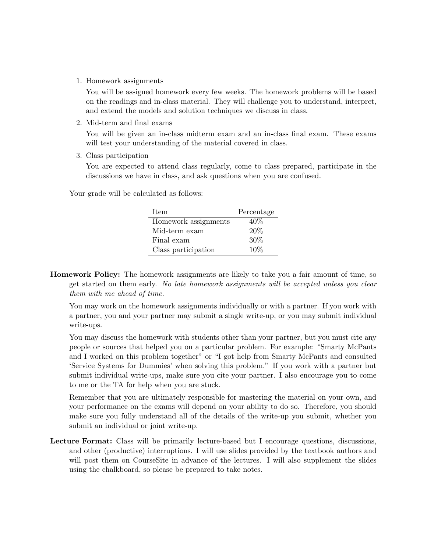1. Homework assignments

You will be assigned homework every few weeks. The homework problems will be based on the readings and in-class material. They will challenge you to understand, interpret, and extend the models and solution techniques we discuss in class.

2. Mid-term and final exams

You will be given an in-class midterm exam and an in-class final exam. These exams will test your understanding of the material covered in class.

3. Class participation

You are expected to attend class regularly, come to class prepared, participate in the discussions we have in class, and ask questions when you are confused.

Your grade will be calculated as follows:

| Item                 | Percentage |
|----------------------|------------|
| Homework assignments | $40\%$     |
| Mid-term exam        | $20\%$     |
| Final exam           | 30%        |
| Class participation  | $10\%$     |

Homework Policy: The homework assignments are likely to take you a fair amount of time, so get started on them early. No late homework assignments will be accepted unless you clear them with me ahead of time.

You may work on the homework assignments individually or with a partner. If you work with a partner, you and your partner may submit a single write-up, or you may submit individual write-ups.

You may discuss the homework with students other than your partner, but you must cite any people or sources that helped you on a particular problem. For example: "Smarty McPants and I worked on this problem together" or "I got help from Smarty McPants and consulted 'Service Systems for Dummies' when solving this problem." If you work with a partner but submit individual write-ups, make sure you cite your partner. I also encourage you to come to me or the TA for help when you are stuck.

Remember that you are ultimately responsible for mastering the material on your own, and your performance on the exams will depend on your ability to do so. Therefore, you should make sure you fully understand all of the details of the write-up you submit, whether you submit an individual or joint write-up.

Lecture Format: Class will be primarily lecture-based but I encourage questions, discussions, and other (productive) interruptions. I will use slides provided by the textbook authors and will post them on CourseSite in advance of the lectures. I will also supplement the slides using the chalkboard, so please be prepared to take notes.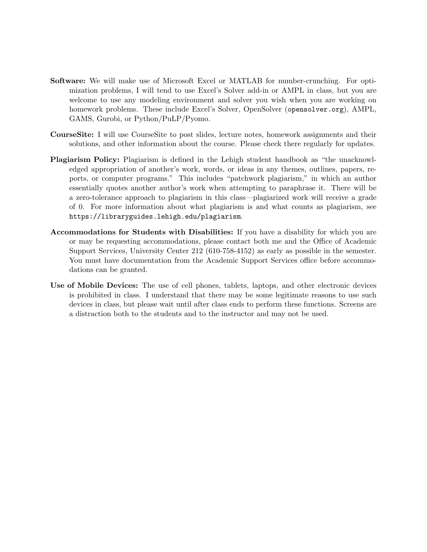- Software: We will make use of Microsoft Excel or MATLAB for number-crunching. For optimization problems, I will tend to use Excel's Solver add-in or AMPL in class, but you are welcome to use any modeling environment and solver you wish when you are working on homework problems. These include Excel's Solver, OpenSolver (opensolver.org), AMPL, GAMS, Gurobi, or Python/PuLP/Pyomo.
- CourseSite: I will use CourseSite to post slides, lecture notes, homework assignments and their solutions, and other information about the course. Please check there regularly for updates.
- Plagiarism Policy: Plagiarism is defined in the Lehigh student handbook as "the unacknowledged appropriation of another's work, words, or ideas in any themes, outlines, papers, reports, or computer programs." This includes "patchwork plagiarism," in which an author essentially quotes another author's work when attempting to paraphrase it. There will be a zero-tolerance approach to plagiarism in this class—plagiarized work will receive a grade of 0. For more information about what plagiarism is and what counts as plagiarism, see https://libraryguides.lehigh.edu/plagiarism.
- Accommodations for Students with Disabilities: If you have a disability for which you are or may be requesting accommodations, please contact both me and the Office of Academic Support Services, University Center 212 (610-758-4152) as early as possible in the semester. You must have documentation from the Academic Support Services office before accommodations can be granted.
- Use of Mobile Devices: The use of cell phones, tablets, laptops, and other electronic devices is prohibited in class. I understand that there may be some legitimate reasons to use such devices in class, but please wait until after class ends to perform these functions. Screens are a distraction both to the students and to the instructor and may not be used.